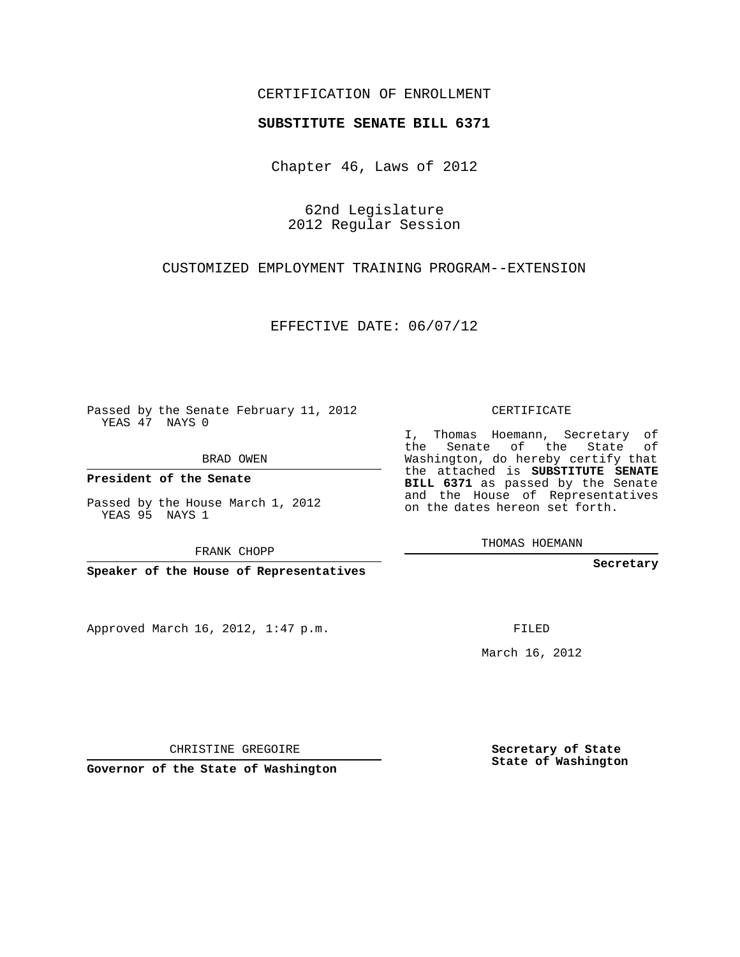## CERTIFICATION OF ENROLLMENT

## **SUBSTITUTE SENATE BILL 6371**

Chapter 46, Laws of 2012

62nd Legislature 2012 Regular Session

CUSTOMIZED EMPLOYMENT TRAINING PROGRAM--EXTENSION

EFFECTIVE DATE: 06/07/12

Passed by the Senate February 11, 2012 YEAS 47 NAYS 0

BRAD OWEN

**President of the Senate**

Passed by the House March 1, 2012 YEAS 95 NAYS 1

FRANK CHOPP

**Speaker of the House of Representatives**

Approved March 16, 2012, 1:47 p.m.

CERTIFICATE

I, Thomas Hoemann, Secretary of the Senate of the State of Washington, do hereby certify that the attached is **SUBSTITUTE SENATE BILL 6371** as passed by the Senate and the House of Representatives on the dates hereon set forth.

THOMAS HOEMANN

**Secretary**

FILED

March 16, 2012

**Secretary of State State of Washington**

CHRISTINE GREGOIRE

**Governor of the State of Washington**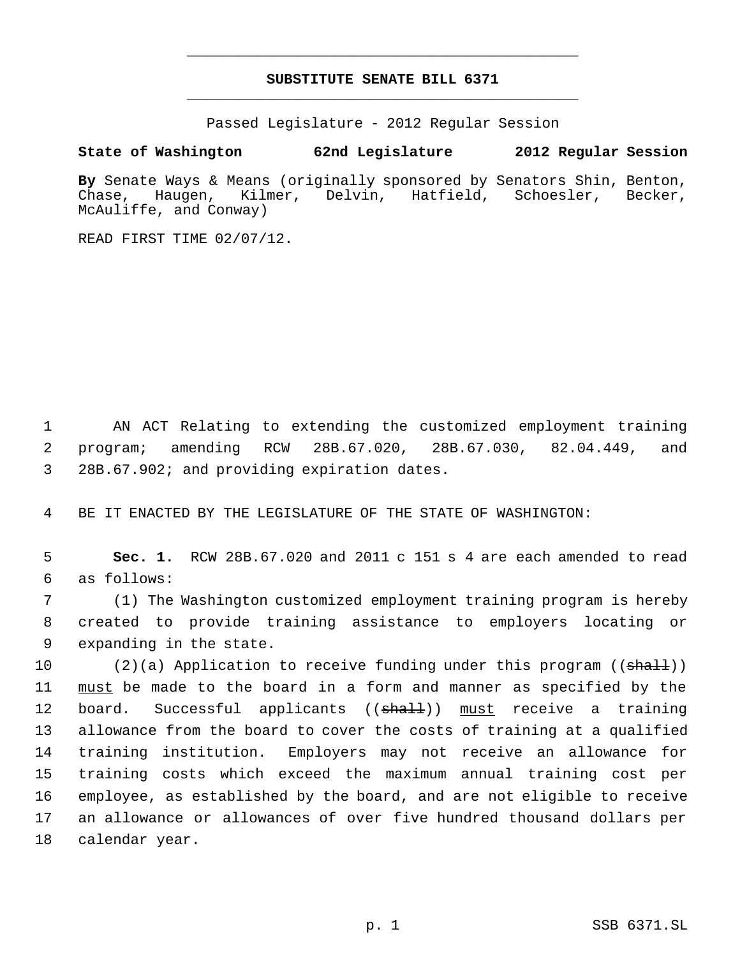## **SUBSTITUTE SENATE BILL 6371** \_\_\_\_\_\_\_\_\_\_\_\_\_\_\_\_\_\_\_\_\_\_\_\_\_\_\_\_\_\_\_\_\_\_\_\_\_\_\_\_\_\_\_\_\_

\_\_\_\_\_\_\_\_\_\_\_\_\_\_\_\_\_\_\_\_\_\_\_\_\_\_\_\_\_\_\_\_\_\_\_\_\_\_\_\_\_\_\_\_\_

Passed Legislature - 2012 Regular Session

## **State of Washington 62nd Legislature 2012 Regular Session**

By Senate Ways & Means (originally sponsored by Senators Shin, Benton,<br>Chase, Haugen, Kilmer, Delvin, Hatfield, Schoesler, Becker, Chase, Haugen, Kilmer, Delvin, Hatfield, Schoesler, Becker, McAuliffe, and Conway)

READ FIRST TIME 02/07/12.

 1 AN ACT Relating to extending the customized employment training 2 program; amending RCW 28B.67.020, 28B.67.030, 82.04.449, and 3 28B.67.902; and providing expiration dates.

4 BE IT ENACTED BY THE LEGISLATURE OF THE STATE OF WASHINGTON:

 5 **Sec. 1.** RCW 28B.67.020 and 2011 c 151 s 4 are each amended to read 6 as follows:

 7 (1) The Washington customized employment training program is hereby 8 created to provide training assistance to employers locating or 9 expanding in the state.

10 (2)(a) Application to receive funding under this program ( $(\text{shall})$ ) 11 must be made to the board in a form and manner as specified by the 12 board. Successful applicants ((shall)) must receive a training allowance from the board to cover the costs of training at a qualified training institution. Employers may not receive an allowance for training costs which exceed the maximum annual training cost per employee, as established by the board, and are not eligible to receive an allowance or allowances of over five hundred thousand dollars per calendar year.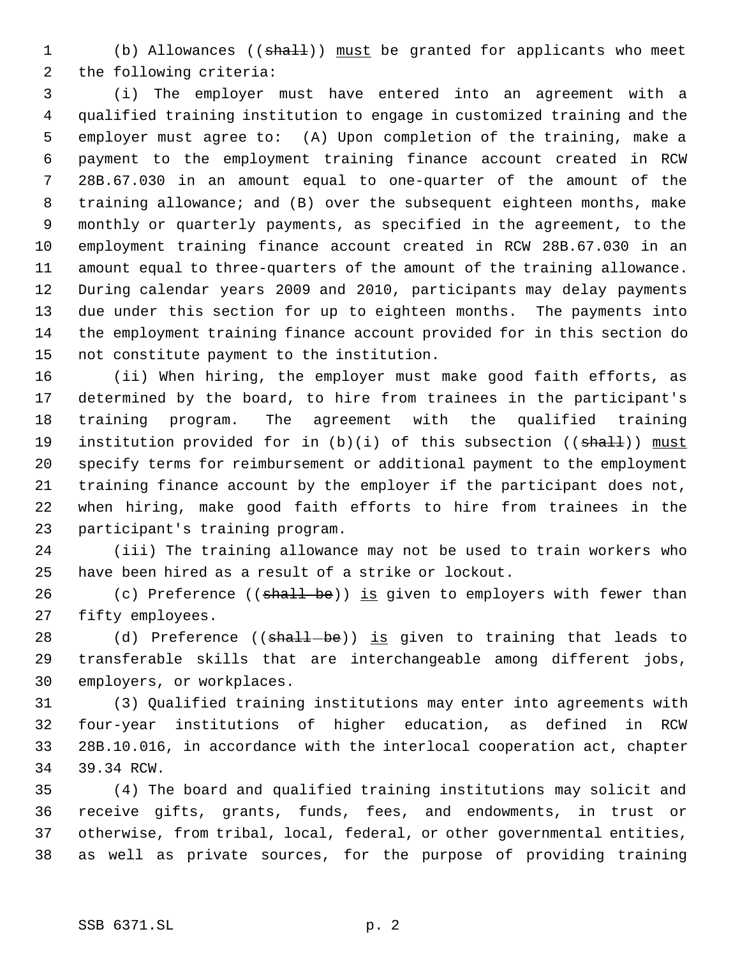1 (b) Allowances ((shall)) must be granted for applicants who meet the following criteria:

 (i) The employer must have entered into an agreement with a qualified training institution to engage in customized training and the employer must agree to: (A) Upon completion of the training, make a payment to the employment training finance account created in RCW 28B.67.030 in an amount equal to one-quarter of the amount of the training allowance; and (B) over the subsequent eighteen months, make monthly or quarterly payments, as specified in the agreement, to the employment training finance account created in RCW 28B.67.030 in an amount equal to three-quarters of the amount of the training allowance. During calendar years 2009 and 2010, participants may delay payments due under this section for up to eighteen months. The payments into the employment training finance account provided for in this section do not constitute payment to the institution.

 (ii) When hiring, the employer must make good faith efforts, as determined by the board, to hire from trainees in the participant's training program. The agreement with the qualified training 19 institution provided for in  $(b)(i)$  of this subsection  $((shall))$  must specify terms for reimbursement or additional payment to the employment training finance account by the employer if the participant does not, when hiring, make good faith efforts to hire from trainees in the participant's training program.

 (iii) The training allowance may not be used to train workers who have been hired as a result of a strike or lockout.

26 (c) Preference ((shall be)) is given to employers with fewer than fifty employees.

28 (d) Preference (( $shall-be$ )) is given to training that leads to transferable skills that are interchangeable among different jobs, employers, or workplaces.

 (3) Qualified training institutions may enter into agreements with four-year institutions of higher education, as defined in RCW 28B.10.016, in accordance with the interlocal cooperation act, chapter 39.34 RCW.

 (4) The board and qualified training institutions may solicit and receive gifts, grants, funds, fees, and endowments, in trust or otherwise, from tribal, local, federal, or other governmental entities, as well as private sources, for the purpose of providing training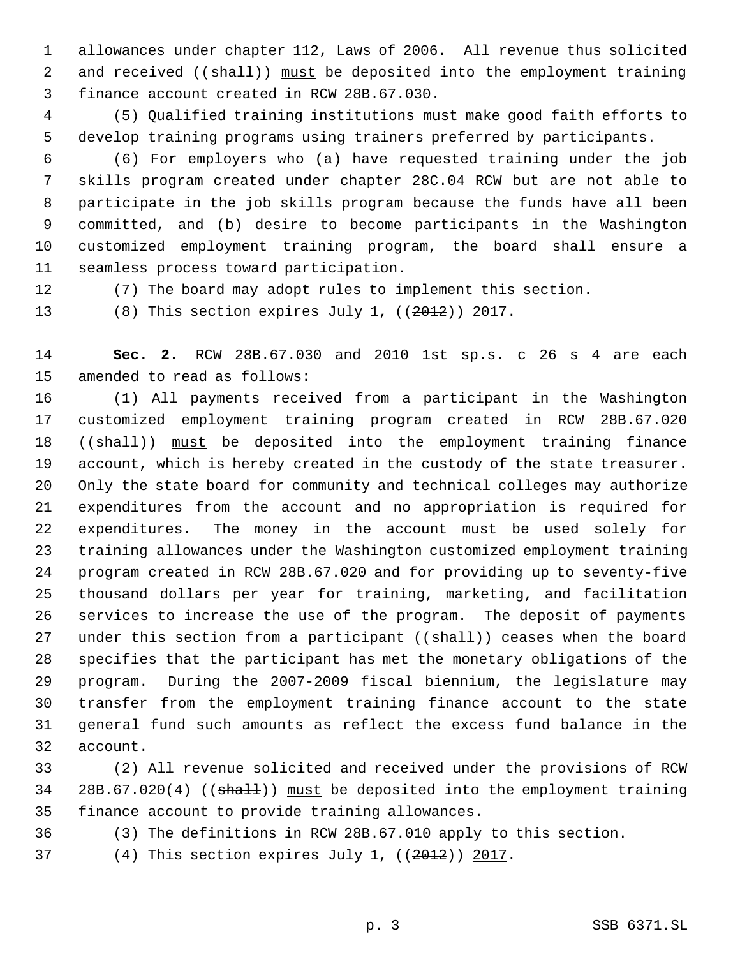allowances under chapter 112, Laws of 2006. All revenue thus solicited 2 and received ((shall)) must be deposited into the employment training finance account created in RCW 28B.67.030.

 (5) Qualified training institutions must make good faith efforts to develop training programs using trainers preferred by participants.

 (6) For employers who (a) have requested training under the job skills program created under chapter 28C.04 RCW but are not able to participate in the job skills program because the funds have all been committed, and (b) desire to become participants in the Washington customized employment training program, the board shall ensure a seamless process toward participation.

(7) The board may adopt rules to implement this section.

13 (8) This section expires July 1, ((2012)) 2017.

 **Sec. 2.** RCW 28B.67.030 and 2010 1st sp.s. c 26 s 4 are each amended to read as follows:

 (1) All payments received from a participant in the Washington customized employment training program created in RCW 28B.67.020 18 ((shall)) must be deposited into the employment training finance account, which is hereby created in the custody of the state treasurer. Only the state board for community and technical colleges may authorize expenditures from the account and no appropriation is required for expenditures. The money in the account must be used solely for training allowances under the Washington customized employment training program created in RCW 28B.67.020 and for providing up to seventy-five thousand dollars per year for training, marketing, and facilitation services to increase the use of the program. The deposit of payments 27 under this section from a participant  $((shall))$  ceases when the board specifies that the participant has met the monetary obligations of the program. During the 2007-2009 fiscal biennium, the legislature may transfer from the employment training finance account to the state general fund such amounts as reflect the excess fund balance in the account.

 (2) All revenue solicited and received under the provisions of RCW 34 28B.67.020(4) ((shall)) must be deposited into the employment training finance account to provide training allowances.

(3) The definitions in RCW 28B.67.010 apply to this section.

37 (4) This section expires July 1,  $((2012)$  2017.